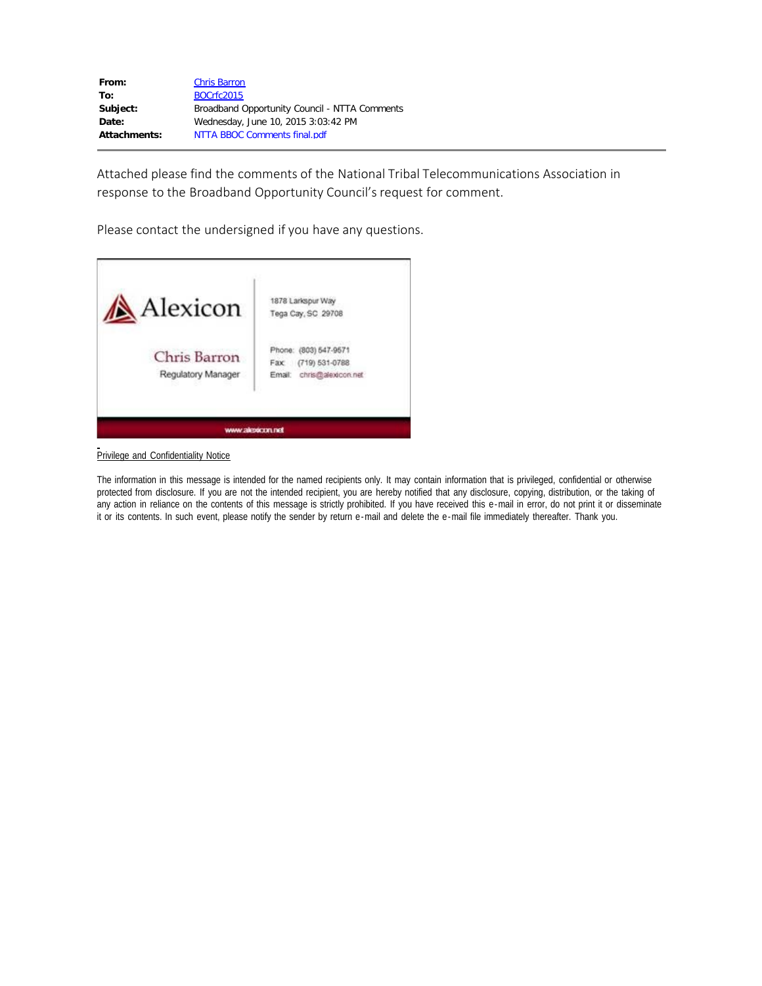| From:        | <b>Chris Barron</b>                           |
|--------------|-----------------------------------------------|
| To:          | BOCrfc2015                                    |
| Subject:     | Broadband Opportunity Council - NTTA Comments |
| Date:        | Wednesday, June 10, 2015 3:03:42 PM           |
| Attachments: | NTTA BBOC Comments final.pdf                  |

Attached please find the comments of the National Tribal Telecommunications Association in response to the Broadband Opportunity Council's request for comment.

Please contact the undersigned if you have any questions.



Privilege and Confidentiality Notice

The information in this message is intended for the named recipients only. It may contain information that is privileged, confidential or otherwise protected from disclosure. If you are not the intended recipient, you are hereby notified that any disclosure, copying, distribution, or the taking of any action in reliance on the contents of this message is strictly prohibited. If you have received this e-mail in error, do not print it or disseminate it or its contents. In such event, please notify the sender by return e-mail and delete the e-mail file immediately thereafter. Thank you.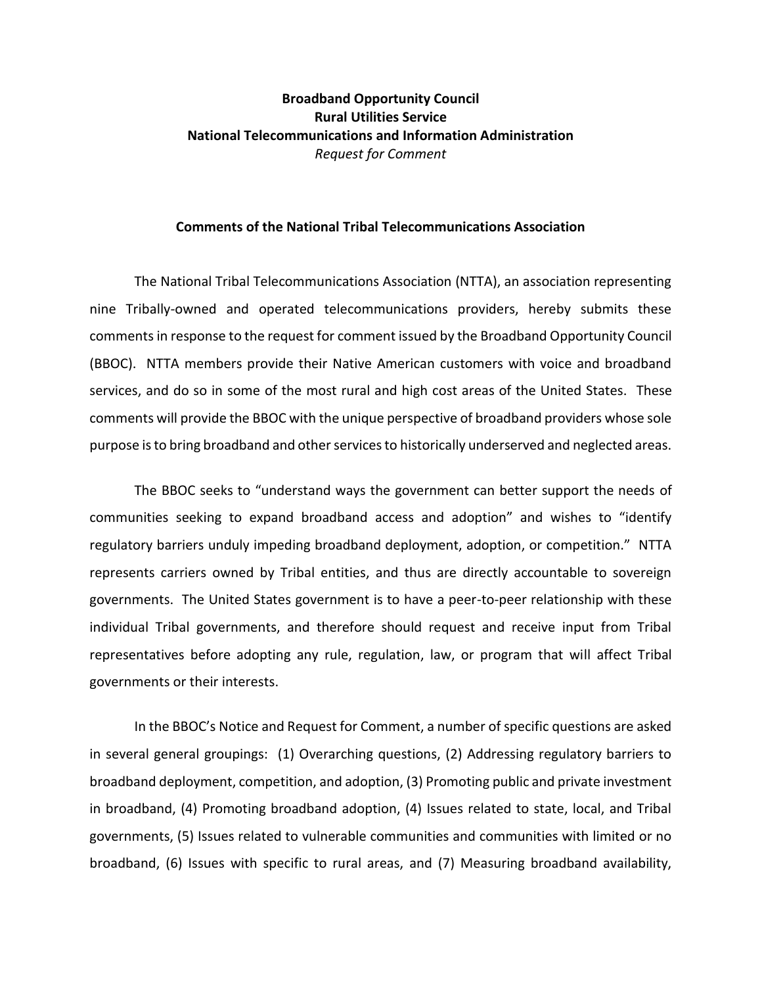## **Broadband Opportunity Council Rural Utilities Service National Telecommunications and Information Administration** *Request for Comment*

## **Comments of the National Tribal Telecommunications Association**

The National Tribal Telecommunications Association (NTTA), an association representing nine Tribally-owned and operated telecommunications providers, hereby submits these comments in response to the request for comment issued by the Broadband Opportunity Council (BBOC). NTTA members provide their Native American customers with voice and broadband services, and do so in some of the most rural and high cost areas of the United States. These comments will provide the BBOC with the unique perspective of broadband providers whose sole purpose is to bring broadband and other services to historically underserved and neglected areas.

The BBOC seeks to "understand ways the government can better support the needs of communities seeking to expand broadband access and adoption" and wishes to "identify regulatory barriers unduly impeding broadband deployment, adoption, or competition." NTTA represents carriers owned by Tribal entities, and thus are directly accountable to sovereign governments. The United States government is to have a peer-to-peer relationship with these individual Tribal governments, and therefore should request and receive input from Tribal representatives before adopting any rule, regulation, law, or program that will affect Tribal governments or their interests.

In the BBOC's Notice and Request for Comment, a number of specific questions are asked in several general groupings: (1) Overarching questions, (2) Addressing regulatory barriers to broadband deployment, competition, and adoption, (3) Promoting public and private investment in broadband, (4) Promoting broadband adoption, (4) Issues related to state, local, and Tribal governments, (5) Issues related to vulnerable communities and communities with limited or no broadband, (6) Issues with specific to rural areas, and (7) Measuring broadband availability,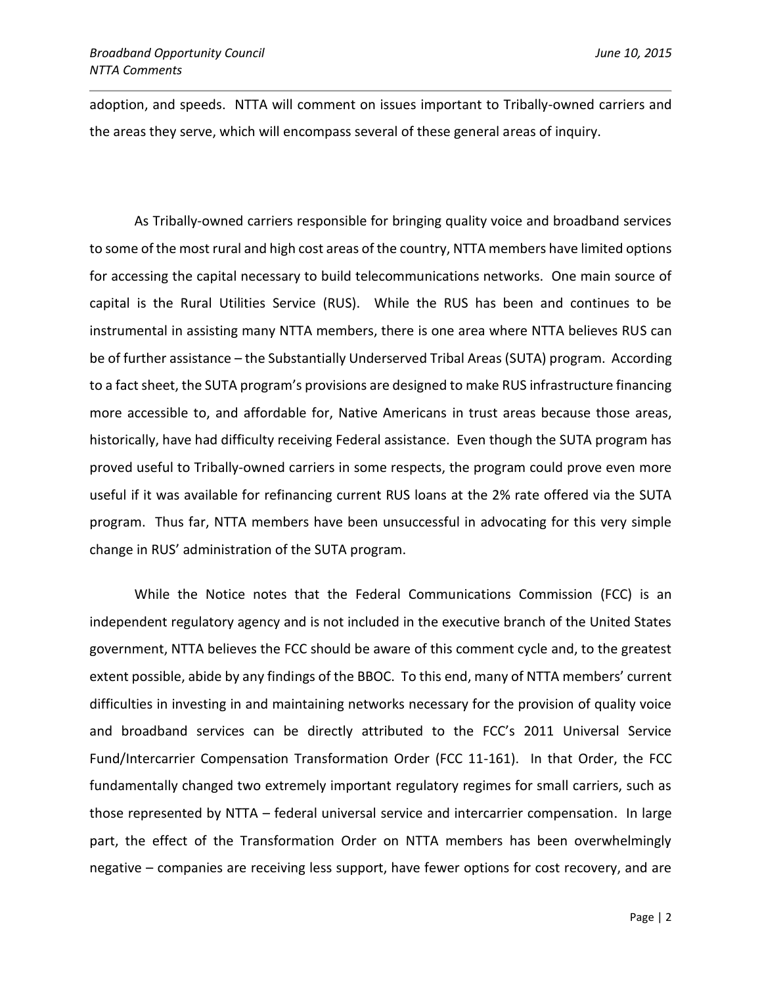adoption, and speeds. NTTA will comment on issues important to Tribally-owned carriers and the areas they serve, which will encompass several of these general areas of inquiry.

As Tribally-owned carriers responsible for bringing quality voice and broadband services to some of the most rural and high cost areas of the country, NTTA members have limited options for accessing the capital necessary to build telecommunications networks. One main source of capital is the Rural Utilities Service (RUS). While the RUS has been and continues to be instrumental in assisting many NTTA members, there is one area where NTTA believes RUS can be of further assistance – the Substantially Underserved Tribal Areas (SUTA) program. According to a fact sheet, the SUTA program's provisions are designed to make RUS infrastructure financing more accessible to, and affordable for, Native Americans in trust areas because those areas, historically, have had difficulty receiving Federal assistance. Even though the SUTA program has proved useful to Tribally-owned carriers in some respects, the program could prove even more useful if it was available for refinancing current RUS loans at the 2% rate offered via the SUTA program. Thus far, NTTA members have been unsuccessful in advocating for this very simple change in RUS' administration of the SUTA program.

While the Notice notes that the Federal Communications Commission (FCC) is an independent regulatory agency and is not included in the executive branch of the United States government, NTTA believes the FCC should be aware of this comment cycle and, to the greatest extent possible, abide by any findings of the BBOC. To this end, many of NTTA members' current difficulties in investing in and maintaining networks necessary for the provision of quality voice and broadband services can be directly attributed to the FCC's 2011 Universal Service Fund/Intercarrier Compensation Transformation Order (FCC 11-161). In that Order, the FCC fundamentally changed two extremely important regulatory regimes for small carriers, such as those represented by NTTA – federal universal service and intercarrier compensation. In large part, the effect of the Transformation Order on NTTA members has been overwhelmingly negative – companies are receiving less support, have fewer options for cost recovery, and are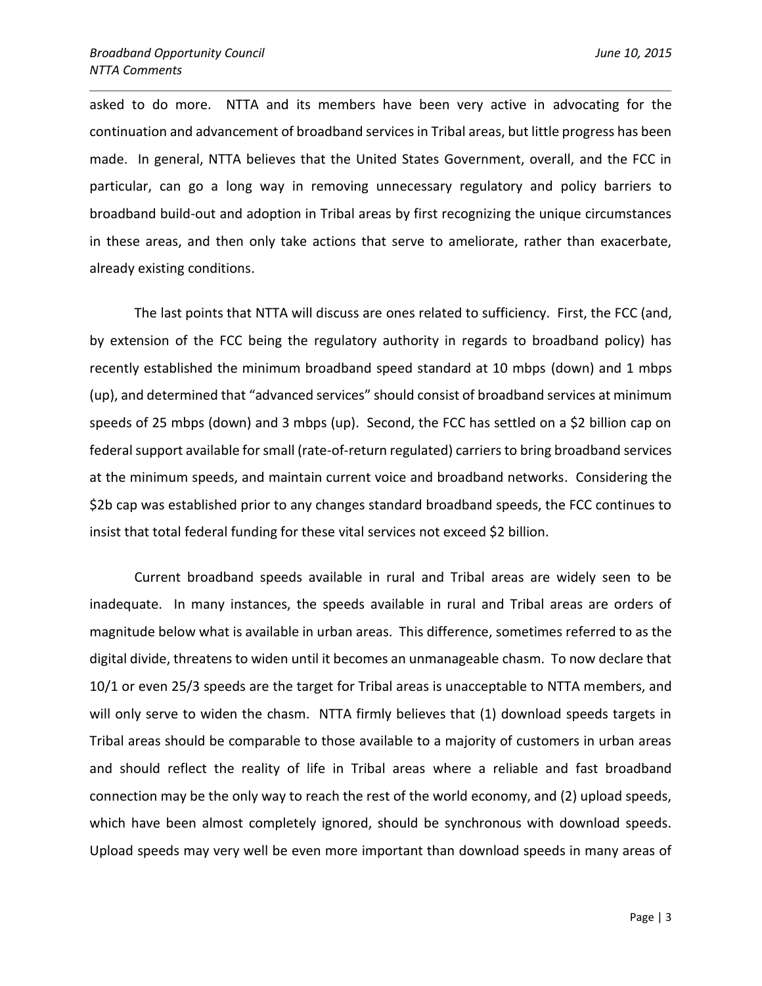asked to do more. NTTA and its members have been very active in advocating for the continuation and advancement of broadband services in Tribal areas, but little progress has been made. In general, NTTA believes that the United States Government, overall, and the FCC in particular, can go a long way in removing unnecessary regulatory and policy barriers to broadband build-out and adoption in Tribal areas by first recognizing the unique circumstances in these areas, and then only take actions that serve to ameliorate, rather than exacerbate, already existing conditions.

The last points that NTTA will discuss are ones related to sufficiency. First, the FCC (and, by extension of the FCC being the regulatory authority in regards to broadband policy) has recently established the minimum broadband speed standard at 10 mbps (down) and 1 mbps (up), and determined that "advanced services" should consist of broadband services at minimum speeds of 25 mbps (down) and 3 mbps (up). Second, the FCC has settled on a \$2 billion cap on federal support available for small (rate-of-return regulated) carriers to bring broadband services at the minimum speeds, and maintain current voice and broadband networks. Considering the \$2b cap was established prior to any changes standard broadband speeds, the FCC continues to insist that total federal funding for these vital services not exceed \$2 billion.

Current broadband speeds available in rural and Tribal areas are widely seen to be inadequate. In many instances, the speeds available in rural and Tribal areas are orders of magnitude below what is available in urban areas. This difference, sometimes referred to as the digital divide, threatens to widen until it becomes an unmanageable chasm. To now declare that 10/1 or even 25/3 speeds are the target for Tribal areas is unacceptable to NTTA members, and will only serve to widen the chasm. NTTA firmly believes that (1) download speeds targets in Tribal areas should be comparable to those available to a majority of customers in urban areas and should reflect the reality of life in Tribal areas where a reliable and fast broadband connection may be the only way to reach the rest of the world economy, and (2) upload speeds, which have been almost completely ignored, should be synchronous with download speeds. Upload speeds may very well be even more important than download speeds in many areas of